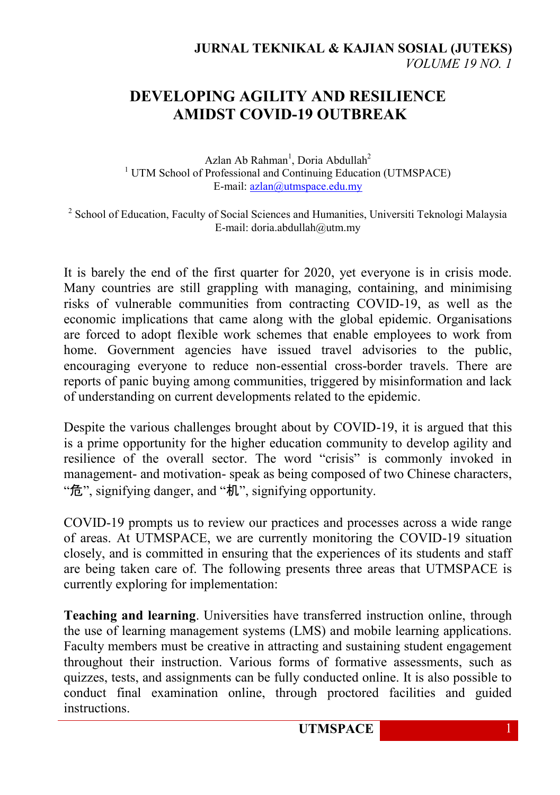## **DEVELOPING AGILITY AND RESILIENCE AMIDST COVID-19 OUTBREAK**

Azlan Ab Rahman<sup>1</sup>, Doria Abdullah<sup>2</sup> <sup>1</sup> UTM School of Professional and Continuing Education (UTMSPACE) E-mail: [azlan@utmspace.edu.my](mailto:azlan@utmspace.edu.my)

<sup>2</sup> School of Education, Faculty of Social Sciences and Humanities, Universiti Teknologi Malaysia E-mail: doria.abdullah@utm.my

It is barely the end of the first quarter for 2020, yet everyone is in crisis mode. Many countries are still grappling with managing, containing, and minimising risks of vulnerable communities from contracting COVID-19, as well as the economic implications that came along with the global epidemic. Organisations are forced to adopt flexible work schemes that enable employees to work from home. Government agencies have issued travel advisories to the public, encouraging everyone to reduce non-essential cross-border travels. There are reports of panic buying among communities, triggered by misinformation and lack of understanding on current developments related to the epidemic.

Despite the various challenges brought about by COVID-19, it is argued that this is a prime opportunity for the higher education community to develop agility and resilience of the overall sector. The word "crisis" is commonly invoked in management- and motivation- speak as being composed of two Chinese characters, "危", signifying danger, and "机", signifying opportunity.

COVID-19 prompts us to review our practices and processes across a wide range of areas. At UTMSPACE, we are currently monitoring the COVID-19 situation closely, and is committed in ensuring that the experiences of its students and staff are being taken care of. The following presents three areas that UTMSPACE is currently exploring for implementation:

**Teaching and learning**. Universities have transferred instruction online, through the use of learning management systems (LMS) and mobile learning applications. Faculty members must be creative in attracting and sustaining student engagement throughout their instruction. Various forms of formative assessments, such as quizzes, tests, and assignments can be fully conducted online. It is also possible to conduct final examination online, through proctored facilities and guided instructions.